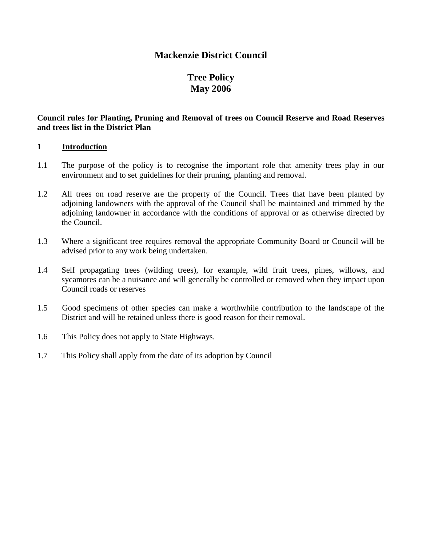## **Mackenzie District Council**

## **Tree Policy May 2006**

#### **Council rules for Planting, Pruning and Removal of trees on Council Reserve and Road Reserves and trees list in the District Plan**

#### **1 Introduction**

- 1.1 The purpose of the policy is to recognise the important role that amenity trees play in our environment and to set guidelines for their pruning, planting and removal.
- 1.2 All trees on road reserve are the property of the Council. Trees that have been planted by adjoining landowners with the approval of the Council shall be maintained and trimmed by the adjoining landowner in accordance with the conditions of approval or as otherwise directed by the Council.
- 1.3 Where a significant tree requires removal the appropriate Community Board or Council will be advised prior to any work being undertaken.
- 1.4 Self propagating trees (wilding trees), for example, wild fruit trees, pines, willows, and sycamores can be a nuisance and will generally be controlled or removed when they impact upon Council roads or reserves
- 1.5 Good specimens of other species can make a worthwhile contribution to the landscape of the District and will be retained unless there is good reason for their removal.
- 1.6 This Policy does not apply to State Highways.
- 1.7 This Policy shall apply from the date of its adoption by Council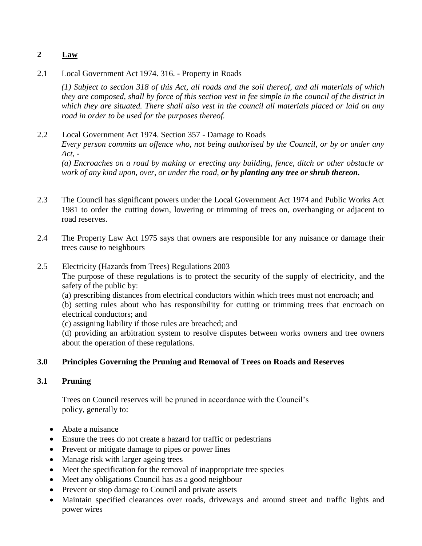## **2 Law**

2.1 Local Government Act 1974. 316. - Property in Roads

*(1) Subject to section 318 of this Act, all roads and the soil thereof, and all materials of which they are composed, shall by force of this section vest in fee simple in the council of the district in which they are situated. There shall also vest in the council all materials placed or laid on any road in order to be used for the purposes thereof.*

#### 2.2 Local Government Act 1974. Section 357 - Damage to Roads *Every person commits an offence who, not being authorised by the Council, or by or under any Act, - (a) Encroaches on a road by making or erecting any building, fence, ditch or other obstacle or work of any kind upon, over, or under the road, or by planting any tree or shrub thereon.*

- 2.3 The Council has significant powers under the Local Government Act 1974 and Public Works Act 1981 to order the cutting down, lowering or trimming of trees on, overhanging or adjacent to road reserves.
- 2.4 The Property Law Act 1975 says that owners are responsible for any nuisance or damage their trees cause to neighbours

#### 2.5 Electricity (Hazards from Trees) Regulations 2003

The purpose of these regulations is to protect the security of the supply of electricity, and the safety of the public by:

(a) prescribing distances from electrical conductors within which trees must not encroach; and

(b) setting rules about who has responsibility for cutting or trimming trees that encroach on electrical conductors; and

(c) assigning liability if those rules are breached; and

(d) providing an arbitration system to resolve disputes between works owners and tree owners about the operation of these regulations.

#### **3.0 Principles Governing the Pruning and Removal of Trees on Roads and Reserves**

## **3.1 Pruning**

Trees on Council reserves will be pruned in accordance with the Council's policy, generally to:

- Abate a nuisance
- Ensure the trees do not create a hazard for traffic or pedestrians
- Prevent or mitigate damage to pipes or power lines
- Manage risk with larger ageing trees
- Meet the specification for the removal of inappropriate tree species
- Meet any obligations Council has as a good neighbour
- Prevent or stop damage to Council and private assets
- Maintain specified clearances over roads, driveways and around street and traffic lights and power wires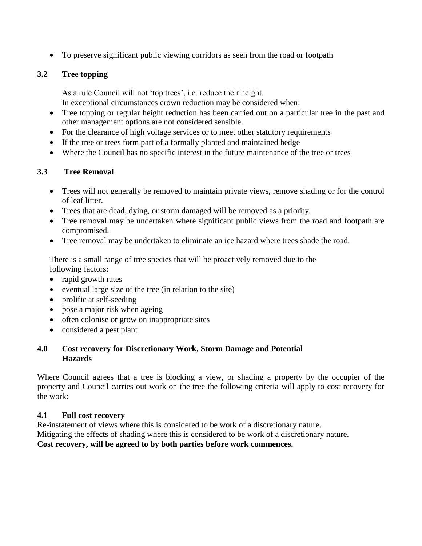To preserve significant public viewing corridors as seen from the road or footpath

## **3.2 Tree topping**

As a rule Council will not 'top trees', i.e. reduce their height. In exceptional circumstances crown reduction may be considered when:

- Tree topping or regular height reduction has been carried out on a particular tree in the past and other management options are not considered sensible.
- For the clearance of high voltage services or to meet other statutory requirements
- If the tree or trees form part of a formally planted and maintained hedge
- Where the Council has no specific interest in the future maintenance of the tree or trees

## **3.3 Tree Removal**

- Trees will not generally be removed to maintain private views, remove shading or for the control of leaf litter.
- Trees that are dead, dying, or storm damaged will be removed as a priority.
- Tree removal may be undertaken where significant public views from the road and footpath are compromised.
- Tree removal may be undertaken to eliminate an ice hazard where trees shade the road.

There is a small range of tree species that will be proactively removed due to the following factors:

- rapid growth rates
- eventual large size of the tree (in relation to the site)
- prolific at self-seeding
- pose a major risk when ageing
- often colonise or grow on inappropriate sites
- considered a pest plant

#### **4.0 Cost recovery for Discretionary Work, Storm Damage and Potential Hazards**

Where Council agrees that a tree is blocking a view, or shading a property by the occupier of the property and Council carries out work on the tree the following criteria will apply to cost recovery for the work:

#### **4.1 Full cost recovery**

Re-instatement of views where this is considered to be work of a discretionary nature. Mitigating the effects of shading where this is considered to be work of a discretionary nature. **Cost recovery, will be agreed to by both parties before work commences.**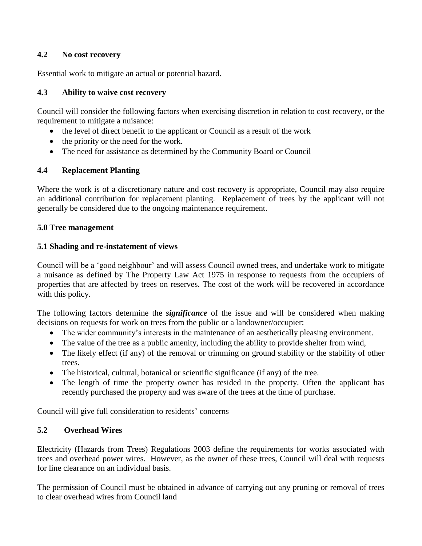#### **4.2 No cost recovery**

Essential work to mitigate an actual or potential hazard.

#### **4.3 Ability to waive cost recovery**

Council will consider the following factors when exercising discretion in relation to cost recovery, or the requirement to mitigate a nuisance:

- the level of direct benefit to the applicant or Council as a result of the work
- the priority or the need for the work.
- The need for assistance as determined by the Community Board or Council

#### **4.4 Replacement Planting**

Where the work is of a discretionary nature and cost recovery is appropriate, Council may also require an additional contribution for replacement planting. Replacement of trees by the applicant will not generally be considered due to the ongoing maintenance requirement.

#### **5.0 Tree management**

#### **5.1 Shading and re-instatement of views**

Council will be a 'good neighbour' and will assess Council owned trees, and undertake work to mitigate a nuisance as defined by The Property Law Act 1975 in response to requests from the occupiers of properties that are affected by trees on reserves. The cost of the work will be recovered in accordance with this policy.

The following factors determine the *significance* of the issue and will be considered when making decisions on requests for work on trees from the public or a landowner/occupier:

- The wider community's interests in the maintenance of an aesthetically pleasing environment.
- The value of the tree as a public amenity, including the ability to provide shelter from wind,
- The likely effect (if any) of the removal or trimming on ground stability or the stability of other trees.
- The historical, cultural, botanical or scientific significance (if any) of the tree.
- The length of time the property owner has resided in the property. Often the applicant has recently purchased the property and was aware of the trees at the time of purchase.

Council will give full consideration to residents' concerns

#### **5.2 Overhead Wires**

Electricity (Hazards from Trees) Regulations 2003 define the requirements for works associated with trees and overhead power wires. However, as the owner of these trees, Council will deal with requests for line clearance on an individual basis.

The permission of Council must be obtained in advance of carrying out any pruning or removal of trees to clear overhead wires from Council land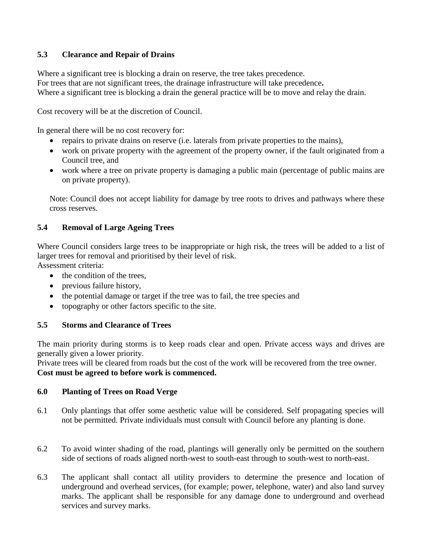## **5.3 Clearance and Repair of Drains**

Where a significant tree is blocking a drain on reserve, the tree takes precedence. For trees that are not significant trees, the drainage infrastructure will take precedence**.** Where a significant tree is blocking a drain the general practice will be to move and relay the drain.

Cost recovery will be at the discretion of Council.

In general there will be no cost recovery for:

- repairs to private drains on reserve (i.e. laterals from private properties to the mains),
- work on private property with the agreement of the property owner, if the fault originated from a Council tree, and
- work where a tree on private property is damaging a public main (percentage of public mains are on private property).

Note: Council does not accept liability for damage by tree roots to drives and pathways where these cross reserves.

## **5.4 Removal of Large Ageing Trees**

Where Council considers large trees to be inappropriate or high risk, the trees will be added to a list of larger trees for removal and prioritised by their level of risk.

Assessment criteria:

- $\bullet$  the condition of the trees.
- previous failure history,
- the potential damage or target if the tree was to fail, the tree species and
- topography or other factors specific to the site.

#### **5.5 Storms and Clearance of Trees**

The main priority during storms is to keep roads clear and open. Private access ways and drives are generally given a lower priority.

Private trees will be cleared from roads but the cost of the work will be recovered from the tree owner. **Cost must be agreed to before work is commenced.** 

#### **6.0 Planting of Trees on Road Verge**

- 6.1 Only plantings that offer some aesthetic value will be considered. Self propagating species will not be permitted. Private individuals must consult with Council before any planting is done.
- 6.2 To avoid winter shading of the road, plantings will generally only be permitted on the southern side of sections of roads aligned north-west to south-east through to south-west to north-east.
- 6.3 The applicant shall contact all utility providers to determine the presence and location of underground and overhead services, (for example; power, telephone, water) and also land survey marks. The applicant shall be responsible for any damage done to underground and overhead services and survey marks.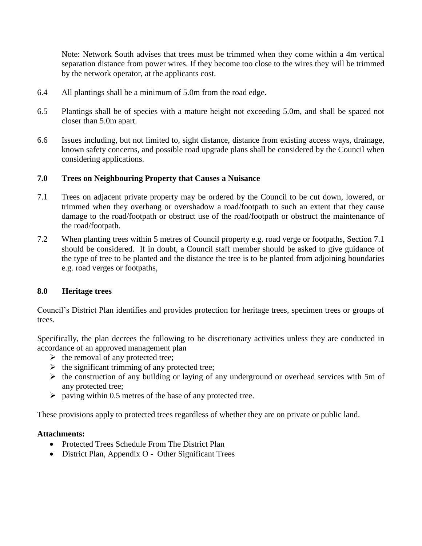Note: Network South advises that trees must be trimmed when they come within a 4m vertical separation distance from power wires. If they become too close to the wires they will be trimmed by the network operator, at the applicants cost.

- 6.4 All plantings shall be a minimum of 5.0m from the road edge.
- 6.5 Plantings shall be of species with a mature height not exceeding 5.0m, and shall be spaced not closer than 5.0m apart.
- 6.6 Issues including, but not limited to, sight distance, distance from existing access ways, drainage, known safety concerns, and possible road upgrade plans shall be considered by the Council when considering applications.

#### **7.0 Trees on Neighbouring Property that Causes a Nuisance**

- 7.1 Trees on adjacent private property may be ordered by the Council to be cut down, lowered, or trimmed when they overhang or overshadow a road/footpath to such an extent that they cause damage to the road/footpath or obstruct use of the road/footpath or obstruct the maintenance of the road/footpath.
- 7.2 When planting trees within 5 metres of Council property e.g. road verge or footpaths, Section 7.1 should be considered. If in doubt, a Council staff member should be asked to give guidance of the type of tree to be planted and the distance the tree is to be planted from adjoining boundaries e.g. road verges or footpaths,

#### **8.0 Heritage trees**

Council's District Plan identifies and provides protection for heritage trees, specimen trees or groups of trees.

Specifically, the plan decrees the following to be discretionary activities unless they are conducted in accordance of an approved management plan

- $\triangleright$  the removal of any protected tree;
- $\triangleright$  the significant trimming of any protected tree;
- $\triangleright$  the construction of any building or laying of any underground or overhead services with 5m of any protected tree;
- $\triangleright$  paving within 0.5 metres of the base of any protected tree.

These provisions apply to protected trees regardless of whether they are on private or public land.

#### **Attachments:**

- Protected Trees Schedule From The District Plan
- District Plan, Appendix O Other Significant Trees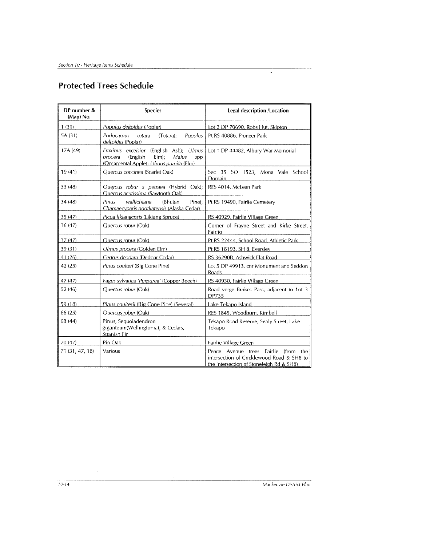# **Protected Trees Schedule**

| DP number &<br>(Map) No. | <b>Species</b>                                                                                                                       | Legal description / Location                                                                                                           |
|--------------------------|--------------------------------------------------------------------------------------------------------------------------------------|----------------------------------------------------------------------------------------------------------------------------------------|
| 1(31)                    | Populus deltoides (Poplar)                                                                                                           | Lot 2 DP 70690, Robs Hut, Skipton                                                                                                      |
| 5A (31)                  | Podocarpus<br>Populus<br>(Totara);<br>totara<br>deltoides (Poplar)                                                                   | Pt RS 40886, Pioneer Park                                                                                                              |
| 17A (49)                 | Fraxinus excelsior (English Ash); Ulmus<br>(English<br>$E(m)$ ;<br>Malus<br>procera<br>spp<br>(Ornamental Apple); Ulmus pumila (Elm) | Lot 1 DP 44482, Albury War Memorial                                                                                                    |
| 19(41)                   | Quercus coccinea (Scarlet Oak)                                                                                                       | Sec 35 SO 1523, Mona Vale School<br>Domain                                                                                             |
| 33 (48)                  | Quercus robur x petraea (Hybrid Oak);<br>Ouercus acutissima (Sawtooth Oak)                                                           | RES 4014, McLean Park                                                                                                                  |
| 34 (48)                  | wallichiana<br>Pinus<br>(Bhutan<br>Pine);<br>Chamaecyparis nootkatensis (Alaska Cedar)                                               | Pt RS 19490, Fairlie Cemetery                                                                                                          |
| 35 (47)                  | Picea likiangensis (Likiang Spruce)                                                                                                  | RS 40929, Fairlie Village Green                                                                                                        |
| 36 (47)                  | Ouercus robur (Oak)                                                                                                                  | Corner of Frayne Street and Kirke Street,<br>Fairlie                                                                                   |
| 37 (47)                  | Quercus robur (Oak)                                                                                                                  | Pt RS 22444, School Road, Athletic Park                                                                                                |
| 39 (31)                  | Ulmus procera (Golden Elm)                                                                                                           | Pt RS 18193, SH 8, Eversley                                                                                                            |
| 41 (26)                  | Cedrus deodara (Dedoar Cedar)                                                                                                        | RS 36290B. Ashwick Flat Road                                                                                                           |
| 42 (25)                  | Pinus coulteri (Big Cone Pine)                                                                                                       | Lot 5 DP 49913, cnr Monument and Seddon<br>Roads                                                                                       |
| 47 (47)                  | Fagus sylvatica 'Purpurea' (Copper Beech)                                                                                            | RS 40930, Fairlie Village Green                                                                                                        |
| 52 (46)                  | Ouercus robur (Oak)                                                                                                                  | Road verge Burkes Pass, adjacent to Lot 3<br><b>DP735</b>                                                                              |
| 59 (18)                  | Pinus coulterii (Big Cone Pine) (Several)                                                                                            | Lake Tekapo Island                                                                                                                     |
| 66 (25)                  | Ouercus robur (Oak)                                                                                                                  | RES 1845. Woodburn, Kimbell                                                                                                            |
| 68 (44)                  | Pinus, Sequoiadendron<br>giganteum(Wellingtonia), & Cedars,<br>Spanish Fir                                                           | Tekapo Road Reserve, Sealy Street, Lake<br>Tekapo                                                                                      |
| 70 (47)                  | Pin Oak                                                                                                                              | <b>Fairlie Village Green</b>                                                                                                           |
| 71 (31, 47, 18)          | Various                                                                                                                              | Fairlie<br>(from<br>the<br>Peace Avenue trees<br>intersection of Cricklewood Road & SH8 to<br>the intersection of Stoneleigh Rd & SH8) |

Mackenzie District Plan

 $\overline{a}$ 

 $\hat{\boldsymbol{\beta}}$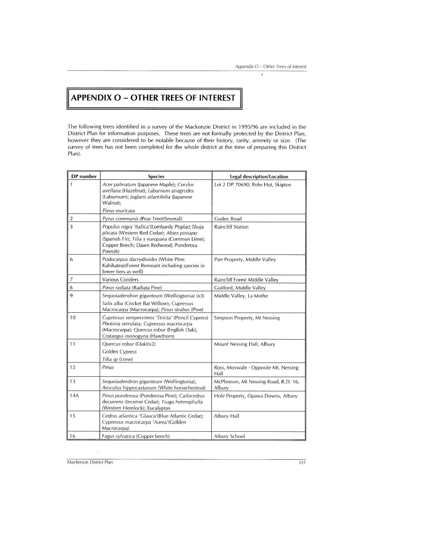$\mathfrak{g}$ 

# **APPENDIX O - OTHER TREES OF INTEREST**

The following trees identified in a survey of the Mackenzie District in 1995/96 are included in the District Plan for information purposes. These trees are not formally protected by the District Plan, however they are considered to be notable because of their history, rarity, amenity or size. (The survey of trees has not been completed for the whole district at the time of preparing this District Plan).

| DP number | <b>Species</b>                                                                                                                                                                                       | Legal description/Location                     |
|-----------|------------------------------------------------------------------------------------------------------------------------------------------------------------------------------------------------------|------------------------------------------------|
| 1         | Acer palmatum (Japanese Maple); Corylus<br>avellana (Hazelnut); Laburnum anagrodes<br>(Laburnum); Juglans ailantifolia (Japanese<br>Walnut);                                                         | Lot 2 DP 70690, Robs Hut, Skipton              |
|           | Pinus muricata                                                                                                                                                                                       |                                                |
| 2         | Pyrus communis (Pear Tree)(Several)                                                                                                                                                                  | Gudex Road                                     |
| 3         | Populus nigra 'Italica'(Lombardy Poplar); Thuja<br>plicata (Western Red Cedar); Abies pinsapo<br>(Spanish Fir); Tilia x europaea (Common Lime);<br>Copper Beech; Dawn Redwood; Ponderosa<br>Pines(6) | <b>Raincliff Station</b>                       |
| 6         | Podocarpus dacrydioides (White Pine<br>Kahikatea)(Forest Remnant including species in<br>lower tiers as well)                                                                                        | Parr Property, Middle Valley                   |
| 7         | <b>Various Conifers</b>                                                                                                                                                                              | Raincliff Forest Middle Valley                 |
| 8         | Pinus radiata (Radiata Pine)                                                                                                                                                                         | Guilford, Middle Valley                        |
| 9         | Sequoiadendron giganteum (Wellingtonia) (x3)<br>Salix alba (Cricket Bat Willow); Cupressus<br>Macrocarpa (Macrocarpa); Pinus strabus (Pine)                                                          | Middle Valley, La Mothe                        |
| 10        | Cupressus sempervirens 'Stricta' (Pencil Cypress)<br>Photinia serrulata; Cupressus macrocarpa<br>(Macrocarpa); Quercus robur (English Oak);<br>Crataegus monogyna (Hawthorn)                         | Simpson Property, Mt Nessing                   |
| 11        | Quercus robur (Oak)(x2)<br>Golden Cypress<br>Tilia sp (Lime)                                                                                                                                         | Mount Nessing Hall, Albury                     |
| 12        | Pinus                                                                                                                                                                                                | Ross, Mossvale - Opposite Mt. Nessing<br>Hall  |
| 13        | Seguoiadendron giganteum (Wellingtonia);<br>Aesculus hippocastanum (White horsechestnut)                                                                                                             | McPherson, Mt Nessing Road, R.D. 16,<br>Albury |
| 14A       | Pinus ponderosa (Ponderosa Pine); Callocedrus<br>decurrens (Incense Cedar); Tsuga heterophylla<br>(Western Hemlock); Eucalyptus                                                                      | Hole Property, Opawa Downs, Albury             |
| 15        | Cedrus atlantica 'Glauca'(Blue Atlantic Cedar);<br>Cypressus macrocarpa 'Aurea'(Golden<br>Macrocarpa)                                                                                                | Albury Hall                                    |
| 16        | Fagus sylvatica (Copper beech)                                                                                                                                                                       | Albury School                                  |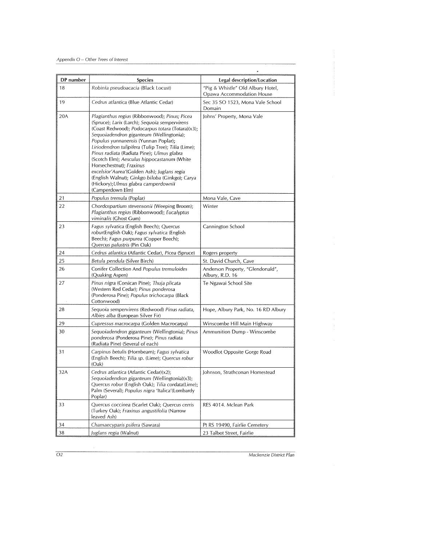| DP number | Species                                                                                                                                                                                                                                                                                                                                                                                                                                                                                                                                                                             | Legal description/Location                                     |
|-----------|-------------------------------------------------------------------------------------------------------------------------------------------------------------------------------------------------------------------------------------------------------------------------------------------------------------------------------------------------------------------------------------------------------------------------------------------------------------------------------------------------------------------------------------------------------------------------------------|----------------------------------------------------------------|
| 18        | Robinia pseudoacacia (Black Locust)                                                                                                                                                                                                                                                                                                                                                                                                                                                                                                                                                 | "Pig & Whistle" Old Albury Hotel,<br>Opawa Accommodation House |
| 19        | Cedrus atlantica (Blue Atlantic Cedar)                                                                                                                                                                                                                                                                                                                                                                                                                                                                                                                                              | Sec 35 SO 1523, Mona Vale School<br>Domain                     |
| 20A       | Plagianthus regius (Ribbonwood); Pinus; Picea<br>(Spruce); Larix (Larch); Sequoia sempervirens<br>(Coast Redwood); Podocarpus totara (Totara)(x3);<br>Sequoiadendron giganteum (Wellingtonia);<br>Populus yunnanensis (Yunnan Poplar);<br>Liriodendron tulipifera (Tulip Tree); Tilia (Lime);<br>Pinus radiata (Radiata Pine); Ulmus glabra<br>(Scotch Elm); Aesculus hippocastanum (White<br>Horsechestnut); Fraxinus<br>excelsior'Aurea'(Golden Ash); Juglans regia<br>(English Walnut); Ginkgo biloba (Ginkgo); Carya<br>(Hickory);Ulmus glabra camperdownii<br>(Camperdown Elm) | Johns' Property, Mona Vale                                     |
| 21        | Populus tremula (Poplar)                                                                                                                                                                                                                                                                                                                                                                                                                                                                                                                                                            | Mona Vale, Cave                                                |
| 22        | Chordospartium stevensonii (Weeping Broom);<br>Plagianthus regius (Ribbonwood); Eucalyptus<br>viminalis (Ghost Gum)                                                                                                                                                                                                                                                                                                                                                                                                                                                                 | Winter                                                         |
| 23        | Fagus sylvatica (English Beech); Quercus<br>robur(English Oak); Fagus sylvatica (English<br>Beech); Fagus purpurea (Copper Beech);<br>Quercus palustris (Pin Oak)                                                                                                                                                                                                                                                                                                                                                                                                                   | Cannington School                                              |
| 24        | Cedrus atlantica (Atlantic Cedar), Picea (Spruce)                                                                                                                                                                                                                                                                                                                                                                                                                                                                                                                                   | Rogers property                                                |
| 25        | Betula pendula (Silver Birch)                                                                                                                                                                                                                                                                                                                                                                                                                                                                                                                                                       | St. David Church, Cave                                         |
| 26        | Conifer Collection And Populus tremuloides<br>(Quaking Aspen)                                                                                                                                                                                                                                                                                                                                                                                                                                                                                                                       | Anderson Property, "Glendonald",<br>Albury, R.D. 16            |
| 27        | Pinus nigra (Corsican Pine); Thuja plicata<br>(Western Red Cedar); Pinus ponderosa<br>(Ponderosa Pine); Populus trichocarpa (Black)<br>Cottonwood)                                                                                                                                                                                                                                                                                                                                                                                                                                  | Te Ngawai School Site                                          |
| 28        | Sequoia sempervirens (Redwood) Pinus radiata,<br><i>Albies alba</i> (European Silver Fir)                                                                                                                                                                                                                                                                                                                                                                                                                                                                                           | Hope, Albury Park, No. 16 RD Albury                            |
| 29        | Cupressus macrocarpa (Golden Macrocarpa)                                                                                                                                                                                                                                                                                                                                                                                                                                                                                                                                            | Winscombe Hill Main Highway                                    |
| 30        | Sequoiadendron giganteum (Wellingtonia); Pinus<br>ponderosa (Ponderosa Pine); <i>Pinus radiata</i><br>(Radiata Pine) (Several of each)                                                                                                                                                                                                                                                                                                                                                                                                                                              | Ammunition Dump - Winscombe                                    |
| 31        | Carpinus betulis (Hornbeam); Fagus sylvatica<br>(English Beech); Tilia sp. (Lime); Quercus robur<br>(Oak)                                                                                                                                                                                                                                                                                                                                                                                                                                                                           | Woodlot Opposite Gorge Road                                    |
| 32A       | Cedrus atlantica (Atlantic Cedar)(x2);<br>Sequoiadendron giganteum (Wellingtonia)(x3);<br>Quercus robur (English Oak); Tilia cordata(Lime);<br>Palm (Several); Populus nigra 'Italica'(Lombardy<br>Poplar)                                                                                                                                                                                                                                                                                                                                                                          | Johnson, Strathconan Homestead                                 |
| 33        | Quercus coccinea (Scarlet Oak); Quercus cerris<br>(Turkey Oak); Fraxinus angustifolia (Narrow<br>leaved Ash)                                                                                                                                                                                                                                                                                                                                                                                                                                                                        | RES 4014. Mclean Park                                          |
| 34        | Chamaecyparis psifera (Sawara)                                                                                                                                                                                                                                                                                                                                                                                                                                                                                                                                                      | Pt RS 19490, Fairlie Cemetery                                  |
| 38        | Juglans regia (Walnut)                                                                                                                                                                                                                                                                                                                                                                                                                                                                                                                                                              | 23 Talbot Street, Fairlie                                      |

Mackenzie District Plan